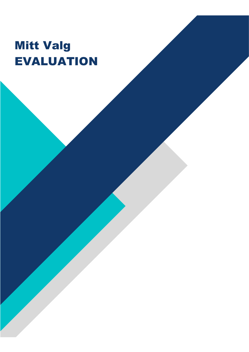# Mitt Valg EVALUATION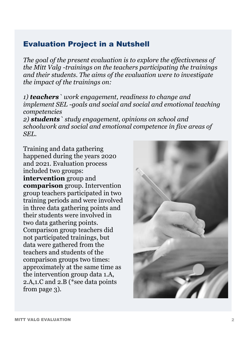### Evaluation Project in a Nutshell

*The goal of the present evaluation is to explore the effectiveness of the Mitt Valg -trainings on the teachers participating the trainings and their students. The aims of the evaluation were to investigate the impact of the trainings on:* 

*1) teachers` work engagement, readiness to change and implement SEL -goals and social and social and emotional teaching competencies* 

*2) students` study engagement, opinions on school and schoolwork and social and emotional competence in five areas of SEL.* 

Training and data gathering happened during the years 2020 and 2021. Evaluation process included two groups: **intervention** group and **comparison** group. Intervention group teachers participated in two training periods and were involved in three data gathering points and their students were involved in two data gathering points. Comparison group teachers did not participated trainings, but data were gathered from the teachers and students of the comparison groups two times: approximately at the same time as the intervention group data 1.A, 2.A,1.C and 2.B (\*see data points from page 3).

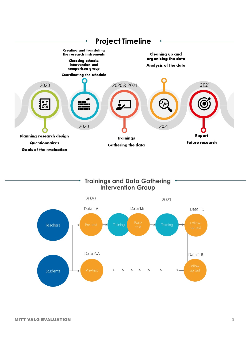

#### **Trainings and Data Gathering Intervention Group**

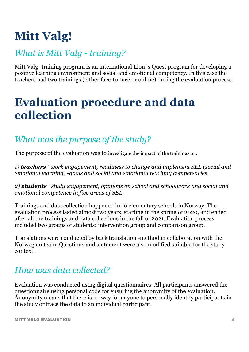# **Mitt Valg!**

## *What is Mitt Valg - training?*

Mitt Valg -training program is an international Lion`s Quest program for developing a positive learning environment and social and emotional competency. In this case the teachers had two trainings (either face-to-face or online) during the evaluation process.

## **Evaluation procedure and data collection**

## *What was the purpose of the study?*

The purpose of the evaluation was to investigate the impact of the trainings on:

*1) teachers` work engagement, readiness to change and implement SEL (social and emotional learning) -goals and social and emotional teaching competencies* 

*2) students` study engagement, opinions on school and schoolwork and social and emotional competence in five areas of SEL.* 

Trainings and data collection happened in 16 elementary schools in Norway. The evaluation process lasted almost two years, starting in the spring of 2020, and ended after all the trainings and data collections in the fall of 2021. Evaluation process included two groups of students: intervention group and comparison group.

Translations were conducted by back translation -method in collaboration with the Norwegian team. Questions and statement were also modified suitable for the study context.

### *How was data collected?*

Evaluation was conducted using digital questionnaires. All participants answered the questionnaire using personal code for ensuring the anonymity of the evaluation. Anonymity means that there is no way for anyone to personally identify participants in the study or trace the data to an individual participant.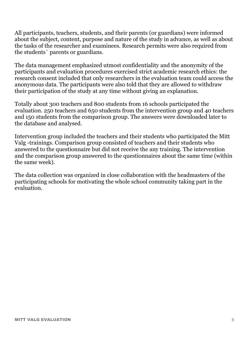All participants, teachers, students, and their parents (or guardians) were informed about the subject, content, purpose and nature of the study in advance, as well as about the tasks of the researcher and examinees. Research permits were also required from the students` parents or guardians.

The data management emphasized utmost confidentiality and the anonymity of the participants and evaluation procedures exercised strict academic research ethics: the research consent included that only researchers in the evaluation team could access the anonymous data. The participants were also told that they are allowed to withdraw their participation of the study at any time without giving an explanation.

Totally about 300 teachers and 800 students from 16 schools participated the evaluation. 250 teachers and 650 students from the intervention group and 40 teachers and 150 students from the comparison group. The answers were downloaded later to the database and analysed.

Intervention group included the teachers and their students who participated the Mitt Valg -trainings. Comparison group consisted of teachers and their students who answered to the questionnaire but did not receive the any training. The intervention and the comparison group answered to the questionnaires about the same time (within the same week).

The data collection was organized in close collaboration with the headmasters of the participating schools for motivating the whole school community taking part in the evaluation.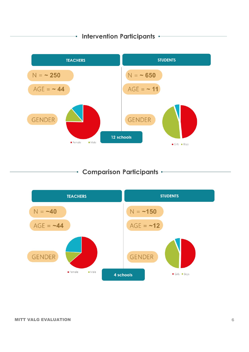#### $\rightarrow$  Intervention Participants  $\leftarrow$



**Comparison Participants -**

 $\bullet$ 

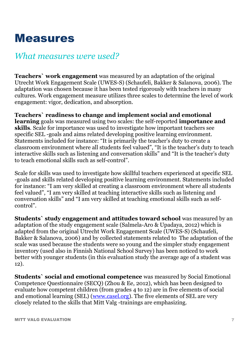## Measures

### *What measures were used?*

**Teachers` work engagement** was measured by an adaptation of the original Utrecht Work Engagement Scale (UWES-S) (Schaufeli, Bakker & Salanova, 2006). The adaptation was chosen because it has been tested rigorously with teachers in many cultures. Work engagement measure utilizes three scales to determine the level of work engagement: vigor, dedication, and absorption.

**Teachers` readiness to change and implement social and emotional learning** goals was measured using two scales: the self-reported **importance and skills**. Scale for importance was used to investigate how important teachers see specific SEL -goals and aims related developing positive learning environment. Statements included for instance: "It is primarily the teacher's duty to create a classroom environment where all students feel valued", "It is the teacher's duty to teach interactive skills such as listening and conversation skills" and "It is the teacher's duty to teach emotional skills such as self-control".

Scale for skills was used to investigate how skillful teachers experienced at specific SEL -goals and skills related developing positive learning environment. Statements included for instance: "I am very skilled at creating a classroom environment where all students feel valued", "I am very skilled at teaching interactive skills such as listening and conversation skills" and "I am very skilled at teaching emotional skills such as selfcontrol".

**Students` study engagement and attitudes toward school** was measured by an adaptation of the study engagement scale (Salmela-Aro & Upadaya, 2012) which is adapted from the original Utrecht Work Engagement Scale (UWES-S) (Schaufeli, Bakker & Salanova, 2006) and by collected statements related to The adaptation of the scale was used because the students were so young and the simpler study engagement inventory (used also in Finnish National School Survey) has been noticed to work better with younger students (in this evaluation study the average age of a student was 12).

**Students` social and emotional competence** was measured by Social Emotional Competence Questionnaire (SECQ) (Zhou & Ee, 2012), which has been designed to evaluate how competent children (from grades 4 to 12) are in five elements of social and emotional learning (SEL) (www.casel.org). The five elements of SEL are very closely related to the skills that Mitt Valg -trainings are emphasizing.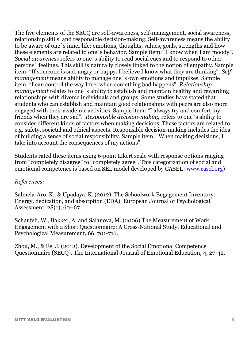The five elements of the SECQ are self-awareness, self-management, social awareness, relationship skills, and responsible decision-making. Self-awareness means the ability to be aware of one`s inner life: emotions, thoughts, values, goals, strengths and how these elements are related to one`s behavior. Sample item: "I know when I am moody". *Social awareness* refers to one`s ability to read social cues and to respond to other persons` feelings. This skill is naturally closely linked to the notion of empathy. Sample item: "If someone is sad, angry or happy, I believe I know what they are thinking". *Selfmanagement* means ability to manage one`s own emotions and impulses. Sample item: "I can control the way I feel when something bad happens". *Relationship management* relates to one`s ability to establish and maintain healthy and rewarding relationships with diverse individuals and groups. Some studies have stated that students who can establish and maintain good relationships with peers are also more engaged with their academic activities. Sample item: "I always try and comfort my friends when they are sad". *Responsible decision-making* refers to one`s ability to consider different kinds of factors when making decisions. These factors are related to e.g. safety, societal and ethical aspects. Responsible decision-making includes the idea of building a sense of social responsibility. Sample item: "When making decisions, I take into account the consequences of my actions".

Students rated these items using 6-point Likert scale with response options ranging from "completely disagree" to "completely agree". This categorization of social and emotional competence is based on SEL model developed by CASEL (www.casel.org)

#### *References:*

Salmela-Aro, K., & Upadaya, K. (2012). The Schoolwork Engagement Inventory: Energy, dedication, and absorption (EDA). European Journal of Psychological Assessment, 28(1), 60–67.

Schaufeli, W., Bakker, A. and Salanova, M. (2006) The Measurement of Work Engagement with a Short Questionnaire: A Cross-National Study. Educational and Psychological Measurement, 66, 701-716.

Zhou, M., & Ee, J. (2012). Development of the Social Emotional Competence Questionnaire (SECQ). The International Journal of Emotional Education, 4, 27-42.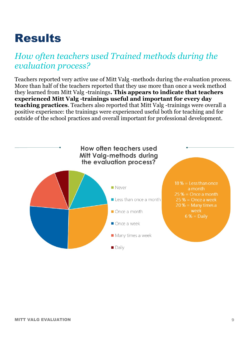## Results

## *How often teachers used Trained methods during the evaluation process?*

Teachers reported very active use of Mitt Valg -methods during the evaluation process. More than half of the teachers reported that they use more than once a week method they learned from Mitt Valg -trainings**. This appears to indicate that teachers experienced Mitt Valg -trainings useful and important for every day teaching practices**. Teachers also reported that Mitt Valg -trainings were overall a positive experience: the trainings were experienced useful both for teaching and for outside of the school practices and overall important for professional development.

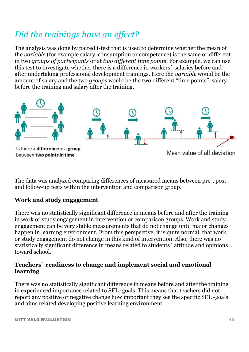## *Did the trainings have an effect?*

The analysis was done by paired t-test that is used to determine whether the mean of the *variable* (for example salary, consumption or competence) is the same or different in two *groups of participants* or at *two different time points*. For example, we can use this test to investigate whether there is a difference in workers` salaries before and after undertaking professional development trainings. Here the *variable* would be the amount of salary and the two *groups* would be the two different "time points", salary before the training and salary after the training.



The data was analyzed comparing differences of measured means between pre-, postand follow-up tests within the intervention and comparison group.

#### **Work and study engagement**

There was no statistically significant difference in means before and after the training in work or study engagement in intervention or comparison groups. Work and study engagement can be very stable measurements that do not change until major changes happen in learning environment. From this perspective, it is quite normal, that work, or study engagement do not change in this kind of intervention. Also, there was no statistically significant difference in means related to students` attitude and opinions toward school.

#### **Teachers` readiness to change and implement social and emotional learning**

There was no statistically significant difference in means before and after the training in experienced importance related to SEL -goals. This means that teachers did not report any positive or negative change how important they see the specific SEL -goals and aims related developing positive learning environment.